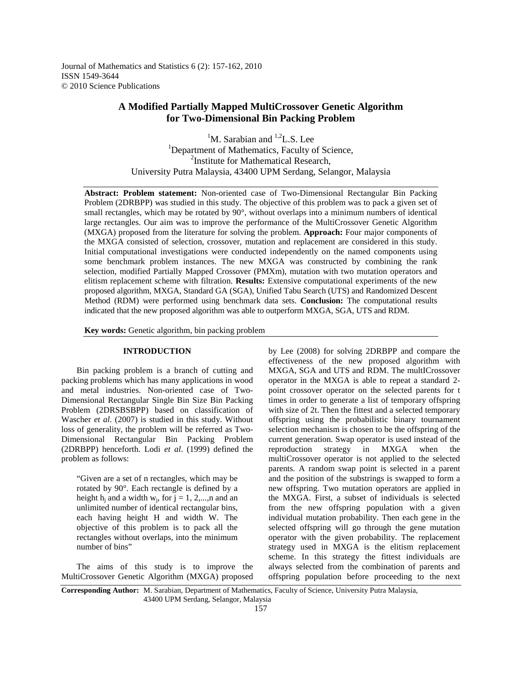Journal of Mathematics and Statistics 6 (2): 157-162, 2010 ISSN 1549-3644 © 2010 Science Publications

# **A Modified Partially Mapped MultiCrossover Genetic Algorithm for Two-Dimensional Bin Packing Problem**

<sup>1</sup>M. Sarabian and <sup>1,2</sup>L.S. Lee <sup>1</sup>Department of Mathematics, Faculty of Science, <sup>2</sup>Institute for Mathematical Research, University Putra Malaysia, 43400 UPM Serdang, Selangor, Malaysia

**Abstract: Problem statement:** Non-oriented case of Two-Dimensional Rectangular Bin Packing Problem (2DRBPP) was studied in this study. The objective of this problem was to pack a given set of small rectangles, which may be rotated by 90°, without overlaps into a minimum numbers of identical large rectangles. Our aim was to improve the performance of the MultiCrossover Genetic Algorithm (MXGA) proposed from the literature for solving the problem. **Approach:** Four major components of the MXGA consisted of selection, crossover, mutation and replacement are considered in this study. Initial computational investigations were conducted independently on the named components using some benchmark problem instances. The new MXGA was constructed by combining the rank selection, modified Partially Mapped Crossover (PMXm), mutation with two mutation operators and elitism replacement scheme with filtration. **Results:** Extensive computational experiments of the new proposed algorithm, MXGA, Standard GA (SGA), Unified Tabu Search (UTS) and Randomized Descent Method (RDM) were performed using benchmark data sets. **Conclusion:** The computational results indicated that the new proposed algorithm was able to outperform MXGA, SGA, UTS and RDM.

**Key words:** Genetic algorithm, bin packing problem

## **INTRODUCTION**

 Bin packing problem is a branch of cutting and packing problems which has many applications in wood and metal industries. Non-oriented case of Two-Dimensional Rectangular Single Bin Size Bin Packing Problem (2DRSBSBPP) based on classification of Wascher *et al*. (2007) is studied in this study. Without loss of generality, the problem will be referred as Two-Dimensional Rectangular Bin Packing Problem (2DRBPP) henceforth. Lodi *et al*. (1999) defined the problem as follows:

"Given are a set of n rectangles, which may be rotated by 90°. Each rectangle is defined by a height  $h_j$  and a width  $w_j$ , for  $j = 1, 2,...,n$  and an unlimited number of identical rectangular bins, each having height H and width W. The objective of this problem is to pack all the rectangles without overlaps, into the minimum number of bins"

 The aims of this study is to improve the MultiCrossover Genetic Algorithm (MXGA) proposed by Lee (2008) for solving 2DRBPP and compare the effectiveness of the new proposed algorithm with MXGA, SGA and UTS and RDM. The multICrossover operator in the MXGA is able to repeat a standard 2 point crossover operator on the selected parents for t times in order to generate a list of temporary offspring with size of 2t. Then the fittest and a selected temporary offspring using the probabilistic binary tournament selection mechanism is chosen to be the offspring of the current generation. Swap operator is used instead of the reproduction strategy in MXGA when the multiCrossover operator is not applied to the selected parents. A random swap point is selected in a parent and the position of the substrings is swapped to form a new offspring. Two mutation operators are applied in the MXGA. First, a subset of individuals is selected from the new offspring population with a given individual mutation probability. Then each gene in the selected offspring will go through the gene mutation operator with the given probability. The replacement strategy used in MXGA is the elitism replacement scheme. In this strategy the fittest individuals are always selected from the combination of parents and offspring population before proceeding to the next

**Corresponding Author:** M. Sarabian, Department of Mathematics, Faculty of Science, University Putra Malaysia, 43400 UPM Serdang, Selangor, Malaysia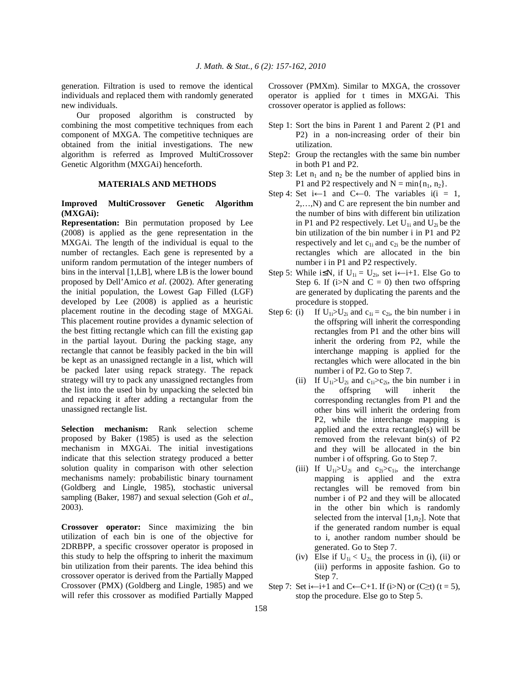generation. Filtration is used to remove the identical individuals and replaced them with randomly generated new individuals.

 Our proposed algorithm is constructed by combining the most competitive techniques from each component of MXGA. The competitive techniques are obtained from the initial investigations. The new algorithm is referred as Improved MultiCrossover Genetic Algorithm (MXGAi) henceforth.

## **MATERIALS AND METHODS**

## **Improved MultiCrossover Genetic Algorithm (MXGAi):**

**Representation:** Bin permutation proposed by Lee (2008) is applied as the gene representation in the MXGAi. The length of the individual is equal to the number of rectangles. Each gene is represented by a uniform random permutation of the integer numbers of bins in the interval [1,LB], where LB is the lower bound proposed by Dell'Amico *et al*. (2002). After generating the initial population, the Lowest Gap Filled (LGF) developed by Lee (2008) is applied as a heuristic placement routine in the decoding stage of MXGAi. This placement routine provides a dynamic selection of the best fitting rectangle which can fill the existing gap in the partial layout. During the packing stage, any rectangle that cannot be feasibly packed in the bin will be kept as an unassigned rectangle in a list, which will be packed later using repack strategy. The repack strategy will try to pack any unassigned rectangles from the list into the used bin by unpacking the selected bin and repacking it after adding a rectangular from the unassigned rectangle list.

**Selection mechanism:** Rank selection scheme proposed by Baker (1985) is used as the selection mechanism in MXGAi. The initial investigations indicate that this selection strategy produced a better solution quality in comparison with other selection mechanisms namely: probabilistic binary tournament (Goldberg and Lingle, 1985), stochastic universal sampling (Baker, 1987) and sexual selection (Goh *et al*., 2003).

**Crossover operator:** Since maximizing the bin utilization of each bin is one of the objective for 2DRBPP, a specific crossover operator is proposed in this study to help the offspring to inherit the maximum bin utilization from their parents. The idea behind this crossover operator is derived from the Partially Mapped Crossover (PMX) (Goldberg and Lingle, 1985) and we will refer this crossover as modified Partially Mapped Crossover (PMXm). Similar to MXGA, the crossover operator is applied for t times in MXGAi. This crossover operator is applied as follows:

- Step 1: Sort the bins in Parent 1 and Parent 2 (P1 and P2) in a non-increasing order of their bin utilization.
- Step2: Group the rectangles with the same bin number in both P1 and P2.
- Step 3: Let  $n_1$  and  $n_2$  be the number of applied bins in P1 and P2 respectively and  $N = min\{n_1, n_2\}$ .
- Step 4: Set  $i \leftarrow 1$  and C $\leftarrow 0$ . The variables  $i(i = 1,$ 2,…,N) and C are represent the bin number and the number of bins with different bin utilization in P1 and P2 respectively. Let  $U_{1i}$  and  $U_{2i}$  be the bin utilization of the bin number i in P1 and P2 respectively and let  $c_{1i}$  and  $c_{2i}$  be the number of rectangles which are allocated in the bin number i in P1 and P2 respectively.
- Step 5: While i $\leq N$ , if U<sub>1i</sub> = U<sub>2i</sub>, set i $\leftarrow$ i+1. Else Go to Step 6. If ( $i>N$  and  $C = 0$ ) then two offspring are generated by duplicating the parents and the procedure is stopped.
- Step 6: (i) If  $U_{1i} > U_{2i}$  and  $c_{1i} = c_{2i}$ , the bin number i in the offspring will inherit the corresponding rectangles from P1 and the other bins will inherit the ordering from P2, while the interchange mapping is applied for the rectangles which were allocated in the bin number i of P2. Go to Step 7.
	- (ii) If  $U_{1i} > U_{2i}$  and  $c_{1i} > c_{2i}$ , the bin number i in the offspring will inherit the corresponding rectangles from P1 and the other bins will inherit the ordering from P2, while the interchange mapping is applied and the extra rectangle(s) will be removed from the relevant bin(s) of P2 and they will be allocated in the bin number i of offspring. Go to Step 7.
	- (iii) If  $U_{1i} > U_{2i}$  and  $c_{2i} > c_{1i}$ , the interchange mapping is applied and the extra rectangles will be removed from bin number i of P2 and they will be allocated in the other bin which is randomly selected from the interval  $[1,n<sub>2</sub>]$ . Note that if the generated random number is equal to i, another random number should be generated. Go to Step 7.
	- (iv) Else if  $U_{1i} < U_{2i}$ , the process in (i), (ii) or (iii) performs in apposite fashion. Go to Step 7.
- Step 7: Set i $\leftarrow$ i+1 and C $\leftarrow$ C+1. If (i>N) or (C≥t) (t = 5), stop the procedure. Else go to Step 5.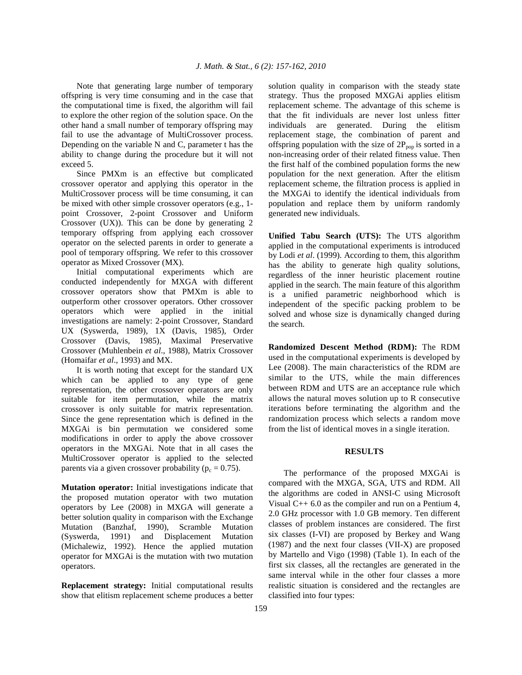Note that generating large number of temporary offspring is very time consuming and in the case that the computational time is fixed, the algorithm will fail to explore the other region of the solution space. On the other hand a small number of temporary offspring may fail to use the advantage of MultiCrossover process. Depending on the variable N and C, parameter t has the ability to change during the procedure but it will not exceed 5.

 Since PMXm is an effective but complicated crossover operator and applying this operator in the MultiCrossover process will be time consuming, it can be mixed with other simple crossover operators (e.g., 1 point Crossover, 2-point Crossover and Uniform Crossover (UX)). This can be done by generating 2 temporary offspring from applying each crossover operator on the selected parents in order to generate a pool of temporary offspring. We refer to this crossover operator as Mixed Crossover (MX).

 Initial computational experiments which are conducted independently for MXGA with different crossover operators show that PMXm is able to outperform other crossover operators. Other crossover operators which were applied in the initial investigations are namely: 2-point Crossover, Standard UX (Syswerda, 1989), 1X (Davis, 1985), Order Crossover (Davis, 1985), Maximal Preservative Crossover (Muhlenbein *et al*., 1988), Matrix Crossover (Homaifar *et al*., 1993) and MX.

 It is worth noting that except for the standard UX which can be applied to any type of gene representation, the other crossover operators are only suitable for item permutation, while the matrix crossover is only suitable for matrix representation. Since the gene representation which is defined in the MXGAi is bin permutation we considered some modifications in order to apply the above crossover operators in the MXGAi. Note that in all cases the MultiCrossover operator is applied to the selected parents via a given crossover probability ( $p_c = 0.75$ ).

**Mutation operator:** Initial investigations indicate that the proposed mutation operator with two mutation operators by Lee (2008) in MXGA will generate a better solution quality in comparison with the Exchange Mutation (Banzhaf, 1990), Scramble Mutation (Syswerda, 1991) and Displacement Mutation (Michalewiz, 1992). Hence the applied mutation operator for MXGAi is the mutation with two mutation operators.

**Replacement strategy:** Initial computational results show that elitism replacement scheme produces a better solution quality in comparison with the steady state strategy. Thus the proposed MXGAi applies elitism replacement scheme. The advantage of this scheme is that the fit individuals are never lost unless fitter individuals are generated. During the elitism replacement stage, the combination of parent and offspring population with the size of  $2P_{pop}$  is sorted in a non-increasing order of their related fitness value. Then the first half of the combined population forms the new population for the next generation. After the elitism replacement scheme, the filtration process is applied in the MXGAi to identify the identical individuals from population and replace them by uniform randomly generated new individuals.

**Unified Tabu Search (UTS):** The UTS algorithm applied in the computational experiments is introduced by Lodi *et al*. (1999). According to them, this algorithm has the ability to generate high quality solutions, regardless of the inner heuristic placement routine applied in the search. The main feature of this algorithm is a unified parametric neighborhood which is independent of the specific packing problem to be solved and whose size is dynamically changed during the search.

**Randomized Descent Method (RDM):** The RDM used in the computational experiments is developed by Lee (2008). The main characteristics of the RDM are similar to the UTS, while the main differences between RDM and UTS are an acceptance rule which allows the natural moves solution up to R consecutive iterations before terminating the algorithm and the randomization process which selects a random move from the list of identical moves in a single iteration.

#### **RESULTS**

 The performance of the proposed MXGAi is compared with the MXGA, SGA, UTS and RDM. All the algorithms are coded in ANSI-C using Microsoft Visual C++ 6.0 as the compiler and run on a Pentium 4, 2.0 GHz processor with 1.0 GB memory. Ten different classes of problem instances are considered. The first six classes (I-VI) are proposed by Berkey and Wang (1987) and the next four classes (VII-X) are proposed by Martello and Vigo (1998) (Table 1). In each of the first six classes, all the rectangles are generated in the same interval while in the other four classes a more realistic situation is considered and the rectangles are classified into four types: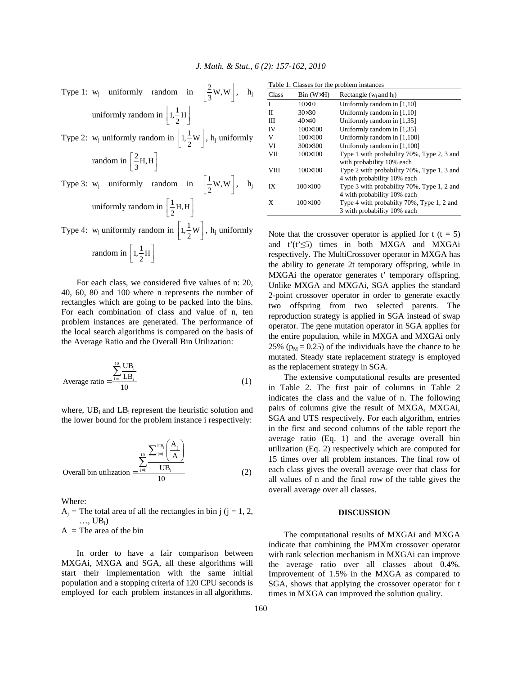Type 1: 
$$
w_j
$$
 uniformly random in  $\left[\frac{2}{3}W, W\right]$ ,  $h_j$   
uniformly random in  $\left[1, \frac{1}{2}H\right]$   
Type 2:  $w_j$  uniformly random in  $\left[1, \frac{1}{2}W\right]$ ,  $h_j$  uniformly  
random in  $\left[\frac{2}{3}H, H\right]$   
Type 3:  $w_j$  uniformly random in  $\left[\frac{1}{2}W, W\right]$ ,  $h_j$   
uniformly random in  $\left[\frac{1}{2}H, H\right]$   
Type 4:  $w_j$  uniformly random in  $\left[1, \frac{1}{2}W\right]$ ,  $h_j$  uniformly  
random in  $\left[1, \frac{1}{2}H\right]$ 

 For each class, we considered five values of n: 20, 40, 60, 80 and 100 where n represents the number of rectangles which are going to be packed into the bins. For each combination of class and value of n, ten problem instances are generated. The performance of the local search algorithms is compared on the basis of the Average Ratio and the Overall Bin Utilization:

Average ratio = 
$$
\frac{\sum_{i=1}^{10} \frac{UB_i}{LB_i}}{10}
$$
 (1)

where,  $UB_i$  and  $LB_i$  represent the heuristic solution and the lower bound for the problem instance i respectively:

Overall bin utilization = 
$$
\frac{\sum_{j=1}^{10} \frac{\sum_{j=1}^{UB_i} \left(\frac{A_j}{A}\right)}{UB_i}}{10}
$$
 (2)

Where:

 $A_i$  = The total area of all the rectangles in bin j (j = 1, 2,  $\ldots$ , UB<sub>i</sub>)  $A =$ The area of the bin

 In order to have a fair comparison between MXGAi, MXGA and SGA, all these algorithms will start their implementation with the same initial population and a stopping criteria of 120 CPU seconds is employed for each problem instances in all algorithms.

|             |                  | Table 1: Classes for the problem instances                                |  |  |  |
|-------------|------------------|---------------------------------------------------------------------------|--|--|--|
| Class       | $Bin(W\times H)$ | Rectangle ( $w_i$ and $h_i$ )                                             |  |  |  |
| I           | $10\times10$     | Uniformly random in $[1,10]$                                              |  |  |  |
| $_{\rm II}$ | $30\times30$     | Uniformly random in $[1,10]$                                              |  |  |  |
| Ш           | $40\times40$     | Uniformly random in $[1,35]$                                              |  |  |  |
| IV          | $100 \times 100$ | Uniformly random in $[1,35]$                                              |  |  |  |
| V           | $100 \times 100$ | Uniformly random in [1,100]                                               |  |  |  |
| VI          | $300 \times 300$ | Uniformly random in [1,100]                                               |  |  |  |
| <b>VII</b>  | $100 \times 100$ | Type 1 with probability 70%, Type 2, 3 and<br>with probability 10% each   |  |  |  |
| <b>VIII</b> | $100 \times 100$ | Type 2 with probability 70%, Type 1, 3 and<br>4 with probability 10% each |  |  |  |
| IX          | 100×100          | Type 3 with probability 70%, Type 1, 2 and<br>4 with probability 10% each |  |  |  |
| X           | 100×100          | Type 4 with probabilty 70%, Type 1, 2 and<br>3 with probability 10% each  |  |  |  |

Note that the crossover operator is applied for  $t$  ( $t = 5$ ) and  $t'(t' \leq 5)$  times in both MXGA and MXGAi respectively. The MultiCrossover operator in MXGA has the ability to generate 2t temporary offspring, while in MXGAi the operator generates t' temporary offspring. Unlike MXGA and MXGAi, SGA applies the standard 2-point crossover operator in order to generate exactly two offspring from two selected parents. The reproduction strategy is applied in SGA instead of swap operator. The gene mutation operator in SGA applies for the entire population, while in MXGA and MXGAi only 25% ( $p_M$  = 0.25) of the individuals have the chance to be mutated. Steady state replacement strategy is employed as the replacement strategy in SGA.

 The extensive computational results are presented in Table 2. The first pair of columns in Table 2 indicates the class and the value of n. The following pairs of columns give the result of MXGA, MXGAi, SGA and UTS respectively. For each algorithm, entries in the first and second columns of the table report the average ratio (Eq. 1) and the average overall bin utilization (Eq. 2) respectively which are computed for 15 times over all problem instances. The final row of each class gives the overall average over that class for all values of n and the final row of the table gives the overall average over all classes.

#### **DISCUSSION**

 The computational results of MXGAi and MXGA indicate that combining the PMXm crossover operator with rank selection mechanism in MXGAi can improve the average ratio over all classes about 0.4%. Improvement of 1.5% in the MXGA as compared to SGA, shows that applying the crossover operator for t times in MXGA can improved the solution quality.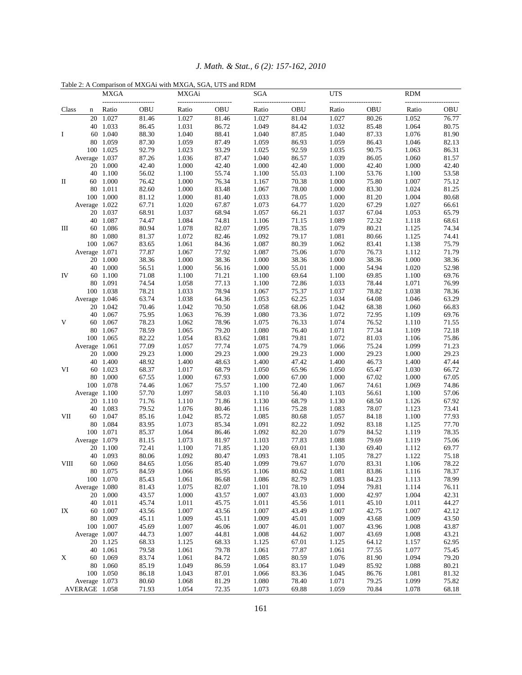|             |               |                       | Table 2: A Comparison of MXGAi with MXGA, SGA, UTS and RDM |                |                |                               |                |                |                |                |                |
|-------------|---------------|-----------------------|------------------------------------------------------------|----------------|----------------|-------------------------------|----------------|----------------|----------------|----------------|----------------|
| <b>MXGA</b> |               | MXGAi                 |                                                            | SGA            |                | <b>UTS</b><br>--------------- |                | <b>RDM</b>     |                |                |                |
| Class       | n             | Ratio                 | OBU                                                        | Ratio          | OBU            | Ratio                         | OBU            | Ratio          | OBU            | Ratio          | OBU            |
| Ι           |               | 20 1.027              | 81.46                                                      | 1.027          | 81.46          | 1.027                         | 81.04          | 1.027          | 80.26          | 1.052          | 76.77          |
|             |               | 40 1.033              | 86.45                                                      | 1.031          | 86.72          | 1.049                         | 84.42          | 1.032          | 85.48          | 1.064          | 80.75          |
|             |               | 60 1.040              | 88.30                                                      | 1.040          | 88.41          | 1.040                         | 87.85          | 1.040          | 87.33          | 1.076          | 81.90          |
|             |               | 80 1.059              | 87.30                                                      | 1.059          | 87.49          | 1.059                         | 86.93          | 1.059          | 86.43          | 1.046          | 82.13          |
|             |               | 100 1.025             | 92.79                                                      | 1.023          | 93.29          | 1.025                         | 92.59          | 1.035          | 90.75          | 1.063          | 86.31          |
| П           | Average 1.037 |                       | 87.26                                                      | 1.036          | 87.47          | 1.040                         | 86.57          | 1.039          | 86.05          | 1.060          | 81.57          |
|             |               | 20 1.000              | 42.40                                                      | 1.000          | 42.40          | 1.000                         | 42.40          | 1.000          | 42.40          | 1.000          | 42.40          |
|             |               | 40 1.100              | 56.02                                                      | 1.100          | 55.74          | 1.100                         | 55.03          | 1.100          | 53.76          | 1.100          | 53.58          |
|             |               | 60 1.000              | 76.42                                                      | 1.000          | 76.34          | 1.167                         | 70.38          | 1.000          | 75.80          | 1.007          | 75.12          |
|             |               | 80 1.011              | 82.60                                                      | 1.000          | 83.48          | 1.067                         | 78.00          | 1.000          | 83.30          | 1.024          | 81.25          |
|             |               | 100 1.000             | 81.12                                                      | 1.000          | 81.40          | 1.033                         | 78.05          | 1.000          | 81.20          | 1.004          | 80.68          |
|             | Average 1.022 |                       | 67.71                                                      | 1.020          | 67.87          | 1.073                         | 64.77          | 1.020          | 67.29          | 1.027          | 66.61          |
| Ш           |               | 20 1.037              | 68.91                                                      | 1.037          | 68.94          | 1.057                         | 66.21          | 1.037          | 67.04          | 1.053          | 65.79          |
|             |               | 40 1.087              | 74.47                                                      | 1.084          | 74.81          | 1.106                         | 71.15          | 1.089          | 72.32          | 1.118          | 68.61          |
|             |               | 60 1.086              | 80.94                                                      | 1.078          | 82.07          | 1.095                         | 78.35          | 1.079          | 80.21          | 1.125          | 74.34          |
|             |               | 80 1.080              | 81.37                                                      | 1.072          | 82.46          | 1.092                         | 79.17          | 1.081          | 80.66          | 1.125          | 74.41          |
|             |               | 100 1.067             | 83.65                                                      | 1.061          | 84.36          | 1.087                         | 80.39          | 1.062          | 83.41          | 1.138          | 75.79          |
|             | Average 1.071 |                       | 77.87                                                      | 1.067          | 77.92          | 1.087                         | 75.06          | 1.070          | 76.73          | 1.112          | 71.79          |
|             |               | 20 1.000              | 38.36                                                      | 1.000          | 38.36          | 1.000                         | 38.36          | 1.000          | 38.36          | 1.000          | 38.36          |
|             |               | 40 1.000              | 56.51                                                      | 1.000          | 56.16          | 1.000                         | 55.01          | 1.000          | 54.94          | 1.020          | 52.98          |
| IV          |               | 60 1.100              | 71.08                                                      | 1.100          | 71.21          | 1.100                         | 69.64          | 1.100          | 69.85          | 1.100          | 69.76          |
|             |               | 80 1.091              | 74.54                                                      | 1.058          | 77.13          | 1.100                         | 72.86          | 1.033          | 78.44          | 1.071          | 76.99          |
|             |               | 100 1.038             | 78.21                                                      | 1.033          | 78.94          | 1.067                         | 75.37          | 1.037          | 78.82          | 1.038          | 78.36          |
|             | Average 1.046 |                       | 63.74                                                      | 1.038          | 64.36          | 1.053                         | 62.25          | 1.034          | 64.08          | 1.046          | 63.29          |
|             |               | 20 1.042              | 70.46                                                      | 1.042          | 70.50          | 1.058                         | 68.06          | 1.042          | 68.38          | 1.060          | 66.83          |
|             |               | 40 1.067              | 75.95                                                      | 1.063          | 76.39          | 1.080                         | 73.36          | 1.072          | 72.95          | 1.109          | 69.76          |
| V           |               | 60 1.067              | 78.23                                                      | 1.062          | 78.96          | 1.075                         | 76.33          | 1.074          | 76.52          | 1.110          | 71.55          |
|             |               | 80 1.067              | 78.59                                                      | 1.065          | 79.20          | 1.080                         | 76.40          | 1.071          | 77.34          | 1.109          | 72.18          |
|             |               | 100 1.065             | 82.22                                                      | 1.054          | 83.62          | 1.081                         | 79.81          | 1.072          | 81.03          | 1.106          | 75.86          |
| VI          | Average 1.061 |                       | 77.09                                                      | 1.057          | 77.74          | 1.075                         | 74.79          | 1.066          | 75.24          | 1.099          | 71.23          |
|             |               | 20 1.000              | 29.23                                                      | 1.000          | 29.23          | 1.000                         | 29.23          | 1.000          | 29.23          | 1.000          | 29.23          |
|             |               | 40 1.400              | 48.92                                                      | 1.400          | 48.63          | 1.400                         | 47.42          | 1.400          | 46.73          | 1.400          | 47.44          |
|             |               | 60 1.023              | 68.37                                                      | 1.017          | 68.79          | 1.050                         | 65.96          | 1.050          | 65.47          | 1.030          | 66.72          |
|             |               | 80 1.000<br>100 1.078 | 67.55<br>74.46                                             | 1.000<br>1.067 | 67.93<br>75.57 | 1.000<br>1.100                | 67.00<br>72.40 | 1.000<br>1.067 | 67.02          | 1.000<br>1.069 | 67.05<br>74.86 |
|             | Average 1.100 |                       | 57.70                                                      | 1.097          | 58.03          | 1.110                         | 56.40          | 1.103          | 74.61<br>56.61 | 1.100          | 57.06          |
|             |               | 20 1.110              | 71.76                                                      | 1.110          | 71.86          | 1.130                         | 68.79          | 1.130          | 68.50          | 1.126          | 67.92          |
| VІІ         |               | 40 1.083              | 79.52                                                      | 1.076          | 80.46          | 1.116                         | 75.28          | 1.083          | 78.07          | 1.123          | 73.41          |
|             |               | 60 1.047              | 85.16                                                      | 1.042          | 85.72          | 1.085                         | 80.68          | 1.057          | 84.18          | 1.100          | 77.93          |
|             |               | 80 1.084              | 83.95                                                      | 1.073          | 85.34          | 1.091                         | 82.22          | 1.092          | 83.18          | 1.125          | 77.70          |
|             |               | 100 1.071             | 85.37                                                      | 1.064          | 86.46          | 1.092                         | 82.20          | 1.079          | 84.52          | 1.119          | 78.35          |
|             | Average 1.079 |                       | 81.15                                                      | 1.073          | 81.97          | 1.103                         | 77.83          | 1.088          | 79.69          | 1.119          | 75.06          |
|             |               | 20 1.100              | 72.41                                                      | 1.100          | 71.85          | 1.120                         | 69.01          | 1.130          | 69.40          | 1.112          | 69.77          |
|             |               | 40 1.093              | 80.06                                                      | 1.092          | 80.47          | 1.093                         | 78.41          | 1.105          | 78.27          | 1.122          | 75.18          |
| VШ          |               | 60 1.060              | 84.65                                                      | 1.056          | 85.40          | 1.099                         | 79.67          | 1.070          | 83.31          | 1.106          | 78.22          |
|             |               | 80 1.075              | 84.59                                                      | 1.066          | 85.95          | 1.106                         | 80.62          | 1.081          | 83.86          | 1.116          | 78.37          |
|             |               | 100 1.070             | 85.43                                                      | 1.061          | 86.68          | 1.086                         | 82.79          | 1.083          | 84.23          | 1.113          | 78.99          |
| IX          | Average 1.080 |                       | 81.43                                                      | 1.075          | 82.07          | 1.101                         | 78.10          | 1.094          | 79.81          | 1.114          | 76.11          |
|             |               | 20 1.000              | 43.57                                                      | 1.000          | 43.57          | 1.007                         | 43.03          | 1.000          | 42.97          | 1.004          | 42.31          |
|             |               | 40 1.011              | 45.74                                                      | 1.011          | 45.75          | 1.011                         | 45.56          | 1.011          | 45.10          | 1.011          | 44.27          |
|             |               | 60 1.007              | 43.56                                                      | 1.007          | 43.56          | 1.007                         | 43.49          | 1.007          | 42.75          | 1.007          | 42.12          |
|             |               | 80 1.009              | 45.11                                                      | 1.009          | 45.11          | 1.009                         | 45.01          | 1.009          | 43.68          | 1.009          | 43.50          |
|             |               | 100 1.007             | 45.69                                                      | 1.007          | 46.06          | 1.007                         | 46.01          | 1.007          | 43.96          | 1.008          | 43.87          |
| X           | Average 1.007 |                       | 44.73                                                      | 1.007          | 44.81          | 1.008                         | 44.62          | 1.007          | 43.69          | 1.008          | 43.21          |
|             |               | 20 1.125              | 68.33                                                      | 1.125          | 68.33          | 1.125                         | 67.01          | 1.125          | 64.12          | 1.157          | 62.95          |
|             |               | 40 1.061              | 79.58                                                      | 1.061          | 79.78          | 1.061                         | 77.87          | 1.061          | 77.55          | 1.077          | 75.45          |
|             |               | 60 1.069              | 83.74                                                      | 1.061          | 84.72          | 1.085                         | 80.59          | 1.076          | 81.90          | 1.094          | 79.20          |
|             |               | 80 1.060              | 85.19                                                      | 1.049          | 86.59          | 1.064                         | 83.17          | 1.049          | 85.92          | 1.088          | 80.21          |
|             |               | 100 1.050             | 86.18                                                      | 1.043          | 87.01          | 1.066                         | 83.36          | 1.045          | 86.76          | 1.081          | 81.32          |
|             | Average 1.073 |                       | 80.60                                                      | 1.068          | 81.29          | 1.080                         | 78.40          | 1.071          | 79.25          | 1.099          | 75.82          |
|             | AVERAGE 1.058 |                       | 71.93                                                      | 1.054          | 72.35          | 1.073                         | 69.88          | 1.059          | 70.84          | 1.078          | 68.18          |

161

*J. Math. & Stat., 6 (2): 157-162, 2010*